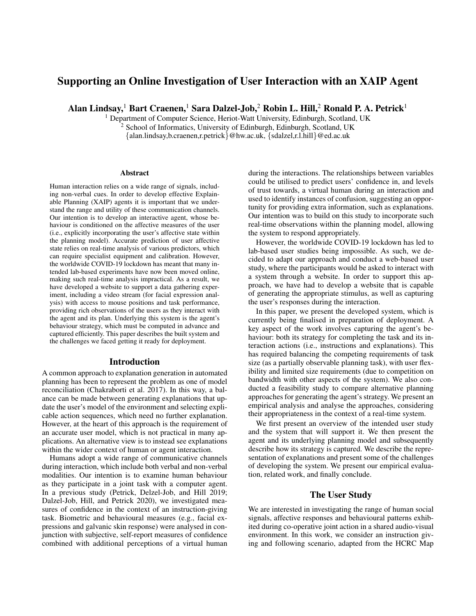# Supporting an Online Investigation of User Interaction with an XAIP Agent

Alan Lindsay,<sup>1</sup> Bart Craenen,<sup>1</sup> Sara Dalzel-Job,<sup>2</sup> Robin L. Hill,<sup>2</sup> Ronald P. A. Petrick<sup>1</sup>

<sup>1</sup> Department of Computer Science, Heriot-Watt University, Edinburgh, Scotland, UK <sup>2</sup> School of Informatics, University of Edinburgh, Edinburgh, Scotland, UK

{alan.lindsay,b.craenen,r.petrick}@hw.ac.uk, {sdalzel,r.l.hill}@ed.ac.uk

#### Abstract

Human interaction relies on a wide range of signals, including non-verbal cues. In order to develop effective Explainable Planning (XAIP) agents it is important that we understand the range and utility of these communication channels. Our intention is to develop an interactive agent, whose behaviour is conditioned on the affective measures of the user (i.e., explicitly incorporating the user's affective state within the planning model). Accurate prediction of user affective state relies on real-time analysis of various predictors, which can require specialist equipment and calibration. However, the worldwide COVID-19 lockdown has meant that many intended lab-based experiments have now been moved online, making such real-time analysis impractical. As a result, we have developed a website to support a data gathering experiment, including a video stream (for facial expression analysis) with access to mouse positions and task performance, providing rich observations of the users as they interact with the agent and its plan. Underlying this system is the agent's behaviour strategy, which must be computed in advance and captured efficiently. This paper describes the built system and the challenges we faced getting it ready for deployment.

#### Introduction

A common approach to explanation generation in automated planning has been to represent the problem as one of model reconciliation (Chakraborti et al. 2017). In this way, a balance can be made between generating explanations that update the user's model of the environment and selecting explicable action sequences, which need no further explanation. However, at the heart of this approach is the requirement of an accurate user model, which is not practical in many applications. An alternative view is to instead see explanations within the wider context of human or agent interaction.

Humans adopt a wide range of communicative channels during interaction, which include both verbal and non-verbal modalities. Our intention is to examine human behaviour as they participate in a joint task with a computer agent. In a previous study (Petrick, Delzel-Job, and Hill 2019; Dalzel-Job, Hill, and Petrick 2020), we investigated measures of confidence in the context of an instruction-giving task. Biometric and behavioural measures (e.g., facial expressions and galvanic skin response) were analysed in conjunction with subjective, self-report measures of confidence combined with additional perceptions of a virtual human

during the interactions. The relationships between variables could be utilised to predict users' confidence in, and levels of trust towards, a virtual human during an interaction and used to identify instances of confusion, suggesting an opportunity for providing extra information, such as explanations. Our intention was to build on this study to incorporate such real-time observations within the planning model, allowing the system to respond appropriately.

However, the worldwide COVID-19 lockdown has led to lab-based user studies being impossible. As such, we decided to adapt our approach and conduct a web-based user study, where the participants would be asked to interact with a system through a website. In order to support this approach, we have had to develop a website that is capable of generating the appropriate stimulus, as well as capturing the user's responses during the interaction.

In this paper, we present the developed system, which is currently being finalised in preparation of deployment. A key aspect of the work involves capturing the agent's behaviour: both its strategy for completing the task and its interaction actions (i.e., instructions and explanations). This has required balancing the competing requirements of task size (as a partially observable planning task), with user flexibility and limited size requirements (due to competition on bandwidth with other aspects of the system). We also conducted a feasibility study to compare alternative planning approaches for generating the agent's strategy. We present an empirical analysis and analyse the approaches, considering their appropriateness in the context of a real-time system.

We first present an overview of the intended user study and the system that will support it. We then present the agent and its underlying planning model and subsequently describe how its strategy is captured. We describe the representation of explanations and present some of the challenges of developing the system. We present our empirical evaluation, related work, and finally conclude.

### The User Study

We are interested in investigating the range of human social signals, affective responses and behavioural patterns exhibited during co-operative joint action in a shared audio-visual environment. In this work, we consider an instruction giving and following scenario, adapted from the HCRC Map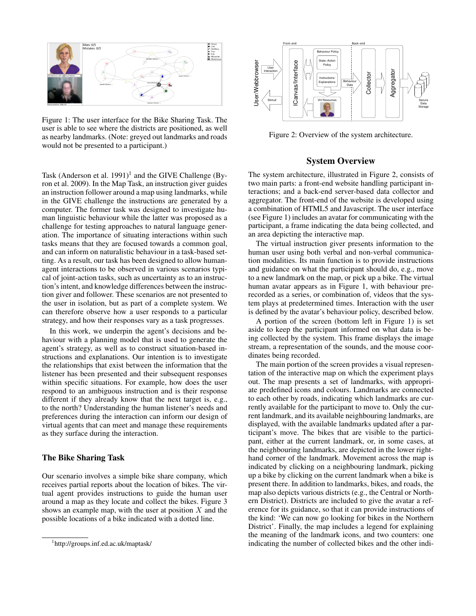

Figure 1: The user interface for the Bike Sharing Task. The user is able to see where the districts are positioned, as well as nearby landmarks. (Note: greyed out landmarks and roads would not be presented to a participant.)

Task (Anderson et al. 1991)<sup>1</sup> and the GIVE Challenge (Byron et al. 2009). In the Map Task, an instruction giver guides an instruction follower around a map using landmarks, while in the GIVE challenge the instructions are generated by a computer. The former task was designed to investigate human linguistic behaviour while the latter was proposed as a challenge for testing approaches to natural language generation. The importance of situating interactions within such tasks means that they are focused towards a common goal, and can inform on naturalistic behaviour in a task-based setting. As a result, our task has been designed to allow humanagent interactions to be observed in various scenarios typical of joint-action tasks, such as uncertainty as to an instruction's intent, and knowledge differences between the instruction giver and follower. These scenarios are not presented to the user in isolation, but as part of a complete system. We can therefore observe how a user responds to a particular strategy, and how their responses vary as a task progresses. **Example 12**<br> **Assume that the set interface for the Bite Sharing Task. The<br>
is able to see where the disticts are positioned as well<br>
and the one posested on particle are positioned as well<br>
and the one posested on parti** 

In this work, we underpin the agent's decisions and behaviour with a planning model that is used to generate the agent's strategy, as well as to construct situation-based instructions and explanations. Our intention is to investigate the relationships that exist between the information that the listener has been presented and their subsequent responses within specific situations. For example, how does the user respond to an ambiguous instruction and is their response different if they already know that the next target is, e.g., to the north? Understanding the human listener's needs and preferences during the interaction can inform our design of virtual agents that can meet and manage these requirements as they surface during the interaction.

# The Bike Sharing Task

Our scenario involves a simple bike share company, which receives partial reports about the location of bikes. The virtual agent provides instructions to guide the human user around a map as they locate and collect the bikes. Figure 3 shows an example map, with the user at position  $X$  and the possible locations of a bike indicated with a dotted line.



Figure 2: Overview of the system architecture.

# System Overview

The system architecture, illustrated in Figure 2, consists of two main parts: a front-end website handling participant interactions; and a back-end server-based data collector and aggregator. The front-end of the website is developed using a combination of HTML5 and Javascript. The user interface (see Figure 1) includes an avatar for communicating with the participant, a frame indicating the data being collected, and an area depicting the interactive map.

The virtual instruction giver presents information to the human user using both verbal and non-verbal communication modalities. Its main function is to provide instructions and guidance on what the participant should do, e.g., move to a new landmark on the map, or pick up a bike. The virtual human avatar appears as in Figure 1, with behaviour prerecorded as a series, or combination of, videos that the system plays at predetermined times. Interaction with the user is defined by the avatar's behaviour policy, described below.

A portion of the screen (bottom left in Figure 1) is set aside to keep the participant informed on what data is being collected by the system. This frame displays the image stream, a representation of the sounds, and the mouse coordinates being recorded.

The main portion of the screen provides a visual representation of the interactive map on which the experiment plays out. The map presents a set of landmarks, with appropriate predefined icons and colours. Landmarks are connected to each other by roads, indicating which landmarks are currently available for the participant to move to. Only the current landmark, and its available neighbouring landmarks, are displayed, with the available landmarks updated after a participant's move. The bikes that are visible to the participant, either at the current landmark, or, in some cases, at the neighbouring landmarks, are depicted in the lower righthand corner of the landmark. Movement across the map is indicated by clicking on a neighbouring landmark, picking up a bike by clicking on the current landmark when a bike is present there. In addition to landmarks, bikes, and roads, the map also depicts various districts (e.g., the Central or Northern District). Districts are included to give the avatar a reference for its guidance, so that it can provide instructions of the kind: 'We can now go looking for bikes in the Northern District'. Finally, the map includes a legend for explaining the meaning of the landmark icons, and two counters: one indicating the number of collected bikes and the other indi-

<sup>&</sup>lt;sup>1</sup>http://groups.inf.ed.ac.uk/maptask/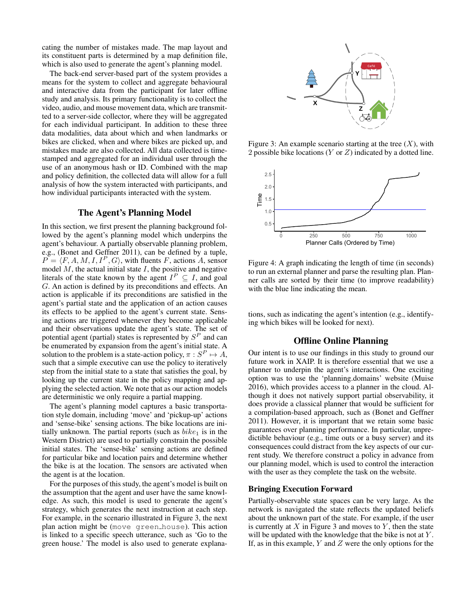cating the number of mistakes made. The map layout and its constituent parts is determined by a map definition file, which is also used to generate the agent's planning model.

The back-end server-based part of the system provides a means for the system to collect and aggregate behavioural and interactive data from the participant for later offline study and analysis. Its primary functionality is to collect the video, audio, and mouse movement data, which are transmitted to a server-side collector, where they will be aggregated for each individual participant. In addition to these three data modalities, data about which and when landmarks or bikes are clicked, when and where bikes are picked up, and mistakes made are also collected. All data collected is timestamped and aggregated for an individual user through the use of an anonymous hash or ID. Combined with the map and policy definition, the collected data will allow for a full analysis of how the system interacted with participants, and how individual participants interacted with the system.

# The Agent's Planning Model

In this section, we first present the planning background followed by the agent's planning model which underpins the agent's behaviour. A partially observable planning problem, e.g., (Bonet and Geffner 2011), can be defined by a tuple,  $P = \langle F, A, M, I, I^P, G \rangle$ , with fluents F, actions A, sensor model  $M$ , the actual initial state  $I$ , the positive and negative literals of the state known by the agent  $I^P \subseteq I$ , and goal G. An action is defined by its preconditions and effects. An action is applicable if its preconditions are satisfied in the agent's partial state and the application of an action causes its effects to be applied to the agent's current state. Sensing actions are triggered whenever they become applicable and their observations update the agent's state. The set of potential agent (partial) states is represented by  $S<sup>P</sup>$  and can be enumerated by expansion from the agent's initial state. A solution to the problem is a state-action policy,  $\pi : S^P \mapsto A$ , such that a simple executive can use the policy to iteratively step from the initial state to a state that satisfies the goal, by looking up the current state in the policy mapping and applying the selected action. We note that as our action models are deterministic we only require a partial mapping.

The agent's planning model captures a basic transportation style domain, including 'move' and 'pickup-up' actions and 'sense-bike' sensing actions. The bike locations are initially unknown. The partial reports (such as  $bike_1$  is in the Western District) are used to partially constrain the possible initial states. The 'sense-bike' sensing actions are defined for particular bike and location pairs and determine whether the bike is at the location. The sensors are activated when the agent is at the location.

For the purposes of this study, the agent's model is built on the assumption that the agent and user have the same knowledge. As such, this model is used to generate the agent's strategy, which generates the next instruction at each step. For example, in the scenario illustrated in Figure 3, the next plan action might be (move green house). This action is linked to a specific speech utterance, such as 'Go to the green house.' The model is also used to generate explana-



Figure 3: An example scenario starting at the tree  $(X)$ , with 2 possible bike locations  $(Y \text{ or } Z)$  indicated by a dotted line.



Figure 4: A graph indicating the length of time (in seconds) to run an external planner and parse the resulting plan. Planner calls are sorted by their time (to improve readability) with the blue line indicating the mean.

tions, such as indicating the agent's intention (e.g., identifying which bikes will be looked for next).

### Offline Online Planning

Our intent is to use our findings in this study to ground our future work in XAIP. It is therefore essential that we use a planner to underpin the agent's interactions. One exciting option was to use the 'planning.domains' website (Muise 2016), which provides access to a planner in the cloud. Although it does not natively support partial observability, it does provide a classical planner that would be sufficient for a compilation-based approach, such as (Bonet and Geffner 2011). However, it is important that we retain some basic guarantees over planning performance. In particular, unpredictible behaviour (e.g., time outs or a busy server) and its consequences could distract from the key aspects of our current study. We therefore construct a policy in advance from our planning model, which is used to control the interaction with the user as they complete the task on the website.

# Bringing Execution Forward

Partially-observable state spaces can be very large. As the network is navigated the state reflects the updated beliefs about the unknown part of the state. For example, if the user is currently at  $X$  in Figure 3 and moves to  $Y$ , then the state will be updated with the knowledge that the bike is not at  $Y$ . If, as in this example,  $Y$  and  $Z$  were the only options for the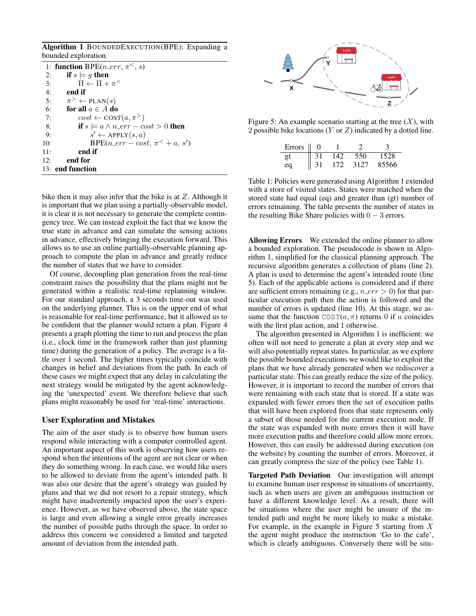Algorithm 1 BOUNDEDEXECUTION(BPE): Expanding a bounded exploration.

|     | 1: function BPE( <i>n_err</i> , $\pi^<$ , <i>s</i> ) |
|-----|------------------------------------------------------|
| 2:  | if $s \models g$ then                                |
| 3:  | $\Pi \leftarrow \Pi + \pi^<$                         |
| 4:  | end if                                               |
| 5:  | $\pi^> \leftarrow \text{PLAN}(s)$                    |
| 6:  | for all $a \in A$ do                                 |
| 7:  | $cost \leftarrow \text{COST}(a, \pi^>)$              |
| 8:  | if $s \models a \land n\_err - cost > 0$ then        |
| 9:  | $s' \leftarrow \text{APPLY}(s, a)$                   |
| 10: | $BPE(n_error - cost, \pi^{\lt} + a, s')$             |
| 11: | end if                                               |
| 12: | end for                                              |
|     | 13: end function                                     |

bike then it may also infer that the bike is at Z. Although it is important that we plan using a partially-observable model, it is clear it is not necessary to generate the complete contingency tree. We can instead exploit the fact that we know the true state in advance and can simulate the sensing actions in advance, effectively bringing the execution forward. This allows us to use an online partially-observable planning approach to compute the plan in advance and greatly reduce the number of states that we have to consider.

Of course, decoupling plan generation from the real-time constraint raises the possibility that the plans might not be generated within a realistic real-time replanning window. For our standard approach, a 3 seconds time-out was used on the underlying planner. This is on the upper end of what is reasonable for real-time performance, but it allowed us to be confident that the planner would return a plan. Figure 4 presents a graph plotting the time to run and process the plan (i.e., clock time in the framework rather than just planning time) during the generation of a policy. The average is a little over 1 second. The higher times typically coincide with changes in belief and deviations from the path. In each of these cases we might expect that any delay in calculating the next strategy would be mitigated by the agent acknowledging the 'unexpected' event. We therefore believe that such plans might reasonably be used for 'real-time' interactions.

### User Exploration and Mistakes

The aim of the user study is to observe how human users respond while interacting with a computer controlled agent. An important aspect of this work is observing how users respond when the intentions of the agent are not clear or when they do something wrong. In each case, we would like users to be allowed to deviate from the agent's intended path. It was also our desire that the agent's strategy was guided by plans and that we did not resort to a repair strategy, which might have inadvertently impacted upon the user's experience. However, as we have observed above, the state space is large and even allowing a single error greatly increases the number of possible paths through the space. In order to address this concern we considered a limited and targeted amount of deviation from the intended path.



Figure 5: An example scenario starting at the tree  $(X)$ , with 2 possible bike locations (Y or Z) indicated by a dotted line.

| Errors | $_{0}$ |     |      |       |
|--------|--------|-----|------|-------|
| gt     | 31     | 142 | 550  | 1528  |
| ea     |        | 172 | 3127 | 85566 |

Table 1: Policies were generated using Algorithm 1 extended with a store of visited states. States were matched when the stored state had equal (eq) and greater than (gt) number of errors remaining. The table presents the number of states in the resulting Bike Share policies with  $0 - 3$  errors.

Allowing Errors We extended the online planner to allow a bounded exploration. The pseudocode is shown in Algorithm 1, simplified for the classical planning approach. The recursive algorithm generates a collection of plans (line 2). A plan is used to determine the agent's intended route (line 5). Each of the applicable actions is considered and if there are sufficient errors remaining (e.g.,  $n\_err > 0$ ) for that particular execution path then the action is followed and the number of errors is updated (line 10). At this stage, we assume that the function  $COST(a, \pi)$  returns 0 if a coincides with the first plan action, and 1 otherwise.

The algorithm presented in Algorithm 1 is inefficient: we often will not need to generate a plan at every step and we will also potentially repeat states. In particular, as we explore the possible bounded executions we would like to exploit the plans that we have already generated when we rediscover a particular state. This can greatly reduce the size of the policy. However, it is important to record the number of errors that were remaining with each state that is stored. If a state was expanded with fewer errors then the set of execution paths that will have been explored from that state represents only a subset of those needed for the current execution node. If the state was expanded with more errors then it will have more execution paths and therefore could allow more errors. However, this can easily be addressed during execution (on the website) by counting the number of errors. Moreover, it can greatly compress the size of the policy (see Table 1).

Targeted Path Deviation Our investigation will attempt to examine human user response in situations of uncertainty, such as when users are given an ambiguous instruction or have a different knowledge level. As a result, there will be situations where the user might be unsure of the intended path and might be more likely to make a mistake. For example, in the example in Figure 5 starting from  $X$ the agent might produce the instruction 'Go to the cafe', which is clearly ambiguous. Conversely there will be situ-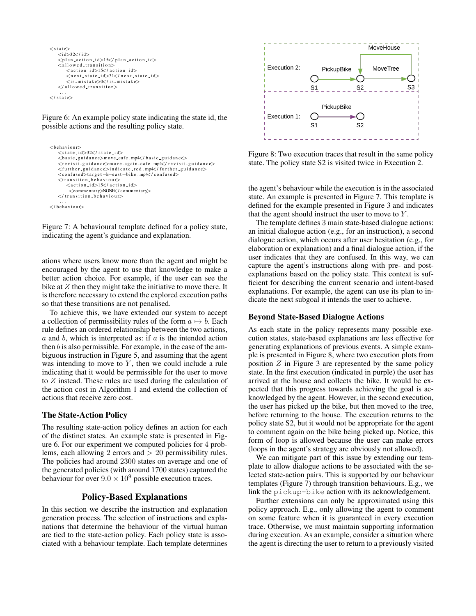```
\langle state\rangle<id>32</ id>\langleplan_action_id>15\langle/plan_action_id>
     \langleallowed_transition>
          \langle action_id>15\langle/ action_id\rangle\langlen e x t _s t a t e _i d > 31\langle/n e x t _s t a t e _i d >
           \langle is \text{m} is take\gg 0 \ll l is \text{m} is take>\langle allowed transition>. . .
\epsilon states
```
Figure 6: An example policy state indicating the state id, the possible actions and the resulting policy state.

```
<br/>behaviour><br><state_id>32</state_id>
    \langlebasic_guidance>move_cafe.mp<sup>4</sup>\langle/basic_guidance>
   <revisit_guidance>move_again_cafe .mp4</revisit_guidance><further_guidance>
    <confused>target -k-east-bike .mp4</confused>
    <transition_behaviour>\langle action -i d>15\langle/ action -i d><commentary>NONE</commentary>
   \langle transition behaviour>
...<br>
</behaviour>
```
Figure 7: A behavioural template defined for a policy state, indicating the agent's guidance and explanation.

ations where users know more than the agent and might be encouraged by the agent to use that knowledge to make a better action choice. For example, if the user can see the bike at  $Z$  then they might take the initiative to move there. It is therefore necessary to extend the explored execution paths so that these transitions are not penalised.

To achieve this, we have extended our system to accept a collection of permissibility rules of the form  $a \mapsto b$ . Each rule defines an ordered relationship between the two actions,  $\alpha$  and  $\beta$ , which is interpreted as: if  $\alpha$  is the intended action then  $b$  is also permissible. For example, in the case of the ambiguous instruction in Figure 5, and assuming that the agent was intending to move to  $Y$ , then we could include a rule indicating that it would be permissible for the user to move to  $Z$  instead. These rules are used during the calculation of the action cost in Algorithm 1 and extend the collection of actions that receive zero cost.

### The State-Action Policy

The resulting state-action policy defines an action for each of the distinct states. An example state is presented in Figure 6. For our experiment we computed policies for 4 problems, each allowing 2 errors and > 20 permissibility rules. The policies had around 2300 states on average and one of the generated policies (with around 1700 states) captured the behaviour for over  $9.0 \times 10^9$  possible execution traces.

### Policy-Based Explanations

In this section we describe the instruction and explanation generation process. The selection of instructions and explanations that determine the behaviour of the virtual human are tied to the state-action policy. Each policy state is associated with a behaviour template. Each template determines



Figure 8: Two execution traces that result in the same policy state. The policy state S2 is visited twice in Execution 2.

the agent's behaviour while the execution is in the associated state. An example is presented in Figure 7. This template is defined for the example presented in Figure 3 and indicates that the agent should instruct the user to move to  $Y$ .

The template defines 3 main state-based dialogue actions: an initial dialogue action (e.g., for an instruction), a second dialogue action, which occurs after user hesitation (e.g., for elaboration or explanation) and a final dialogue action, if the user indicates that they are confused. In this way, we can capture the agent's instructions along with pre- and postexplanations based on the policy state. This context is sufficient for describing the current scenario and intent-based explanations. For example, the agent can use its plan to indicate the next subgoal it intends the user to achieve.

## Beyond State-Based Dialogue Actions

As each state in the policy represents many possible execution states, state-based explanations are less effective for generating explanations of previous events. A simple example is presented in Figure 8, where two execution plots from position  $Z$  in Figure 3 are represented by the same policy state. In the first execution (indicated in purple) the user has arrived at the house and collects the bike. It would be expected that this progress towards achieving the goal is acknowledged by the agent. However, in the second execution, the user has picked up the bike, but then moved to the tree, before returning to the house. The execution returns to the policy state S2, but it would not be appropriate for the agent to comment again on the bike being picked up. Notice, this form of loop is allowed because the user can make errors (loops in the agent's strategy are obviously not allowed).

We can mitigate part of this issue by extending our template to allow dialogue actions to be associated with the selected state-action pairs. This is supported by our behaviour templates (Figure 7) through transition behaviours. E.g., we link the pickup-bike action with its acknowledgement.

Further extensions can only be approximated using this policy approach. E.g., only allowing the agent to comment on some feature when it is guaranteed in every execution trace. Otherwise, we must maintain supporting information during execution. As an example, consider a situation where the agent is directing the user to return to a previously visited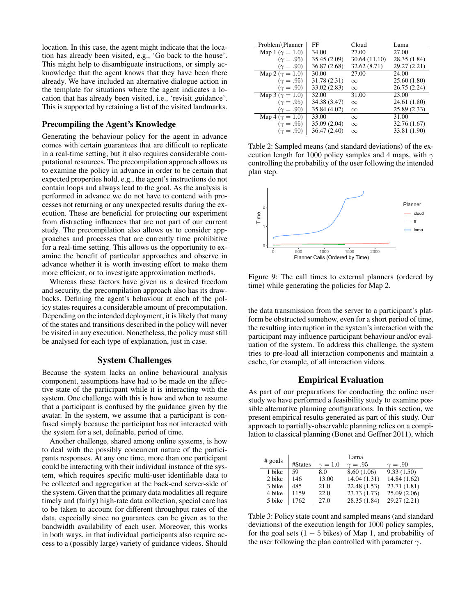location. In this case, the agent might indicate that the location has already been visited, e.g., 'Go back to the house'. This might help to disambiguate instructions, or simply acknowledge that the agent knows that they have been there already. We have included an alternative dialogue action in the template for situations where the agent indicates a location that has already been visited, i.e., 'revisit guidance'. This is supported by retaining a list of the visited landmarks.

#### Precompiling the Agent's Knowledge

Generating the behaviour policy for the agent in advance comes with certain guarantees that are difficult to replicate in a real-time setting, but it also requires considerable computational resources. The precompilation approach allows us to examine the policy in advance in order to be certain that expected properties hold, e.g., the agent's instructions do not contain loops and always lead to the goal. As the analysis is performed in advance we do not have to contend with processes not returning or any unexpected results during the execution. These are beneficial for protecting our experiment from distracting influences that are not part of our current study. The precompilation also allows us to consider appproaches and processes that are currently time prohibitive for a real-time setting. This allows us the opportunity to examine the benefit of particular approaches and observe in advance whether it is worth investing effort to make them more efficient, or to investigate approximation methods.

Whereas these factors have given us a desired freedom and security, the precompilation approach also has its drawbacks. Defining the agent's behaviour at each of the policy states requires a considerable amount of precomputation. Depending on the intended deployment, it is likely that many of the states and transitions described in the policy will never be visited in any execution. Nonetheless, the policy must still be analysed for each type of explanation, just in case.

#### System Challenges

Because the system lacks an online behavioural analysis component, assumptions have had to be made on the affective state of the participant while it is interacting with the system. One challenge with this is how and when to assume that a participant is confused by the guidance given by the avatar. In the system, we assume that a participant is confused simply because the participant has not interacted with the system for a set, definable, period of time.

Another challenge, shared among online systems, is how to deal with the possibly concurrent nature of the participants responses. At any one time, more than one participant could be interacting with their individual instance of the system, which requires specific multi-user identifiable data to be collected and aggregation at the back-end server-side of the system. Given that the primary data modalities all require timely and (fairly) high-rate data collection, special care has to be taken to account for different throughput rates of the data, especially since no guarantees can be given as to the bandwidth availability of each user. Moreover, this works in both ways, in that individual participants also require access to a (possibly large) variety of guidance videos. Should

| Problem\Planner          | FF           | Cloud         | Lama         |
|--------------------------|--------------|---------------|--------------|
| Map 1 ( $\gamma = 1.0$ ) | 34.00        | 27.00         | 27.00        |
| $(\gamma = .95)$         | 35.45 (2.09) | 30.64 (11.10) | 28.35 (1.84) |
| $(\gamma = .90)$         | 36.87 (2.68) | 32.62 (8.71)  | 29.27 (2.21) |
| Map 2 ( $\gamma = 1.0$ ) | 30.00        | 27.00         | 24.00        |
| $(\gamma = .95)$         | 31.78 (2.31) | $\infty$      | 25.60 (1.80) |
| $(\gamma = .90)$         | 33.02 (2.83) | $\infty$      | 26.75 (2.24) |
| Map 3 ( $\gamma = 1.0$ ) | 32.00        | 31.00         | 23.00        |
| $(\gamma = .95)$         | 34.38 (3.47) | $\infty$      | 24.61 (1.80) |
| $(\gamma = .90)$         | 35.84 (4.02) | $\infty$      | 25.89 (2.33) |
| Map 4 ( $\gamma = 1.0$ ) | 33.00        | $\infty$      | 31.00        |
| $(\gamma = .95)$         | 35.09 (2.04) | $\infty$      | 32.76 (1.67) |
| $(\gamma = .90)$         | 36.47 (2.40) | $\infty$      | 33.81 (1.90) |

Table 2: Sampled means (and standard deviations) of the execution length for 1000 policy samples and 4 maps, with  $\gamma$ controlling the probability of the user following the intended plan step.



Figure 9: The call times to external planners (ordered by time) while generating the policies for Map 2.

the data transmission from the server to a participant's platform be obstructed somehow, even for a short period of time, the resulting interruption in the system's interaction with the participant may influence participant behaviour and/or evaluation of the system. To address this challenge, the system tries to pre-load all interaction components and maintain a cache, for example, of all interaction videos.

#### Empirical Evaluation

As part of our preparations for conducting the online user study we have performed a feasibility study to examine possible alternative planning configurations. In this section, we present empirical results generated as part of this study. Our approach to partially-observable planning relies on a compilation to classical planning (Bonet and Geffner 2011), which

| $#$ goals | Lama    |                |                |                |
|-----------|---------|----------------|----------------|----------------|
|           | #States | $\gamma = 1.0$ | $\gamma = .95$ | $\gamma = .90$ |
| 1 bike    | 59      | 8.0            | 8.60(1.06)     | 9.33(1.50)     |
| 2 bike    | 146     | 13.00          | 14.04(1.31)    | 14.84 (1.62)   |
| 3 bike    | 485     | 21.0           | 22.48 (1.53)   | 23.71 (1.81)   |
| 4 bike    | 1159    | 22.0           | 23.73 (1.73)   | 25.09(2.06)    |
| 5 bike    | 1762    | 27.0           | 28.35 (1.84)   | 29.27 (2.21)   |

Table 3: Policy state count and sampled means (and standard deviations) of the execution length for 1000 policy samples, for the goal sets  $(1 - 5$  bikes) of Map 1, and probability of the user following the plan controlled with parameter  $\gamma$ .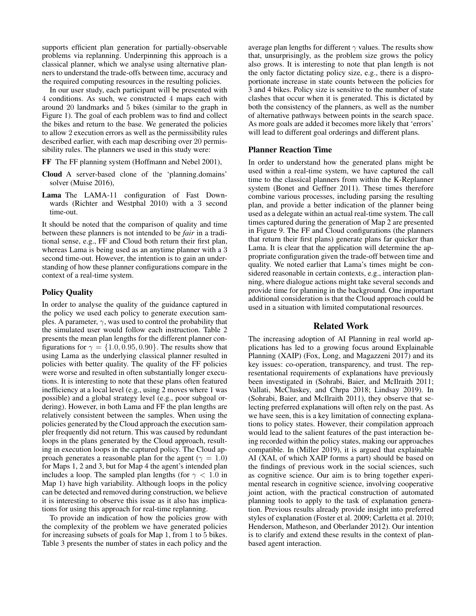supports efficient plan generation for partially-observable problems via replanning. Underpinning this approach is a classical planner, which we analyse using alternative planners to understand the trade-offs between time, accuracy and the required computing resources in the resulting policies.

In our user study, each participant will be presented with 4 conditions. As such, we constructed 4 maps each with around 20 landmarks and 5 bikes (similar to the graph in Figure 1). The goal of each problem was to find and collect the bikes and return to the base. We generated the policies to allow 2 execution errors as well as the permissibility rules described earlier, with each map describing over 20 permissibility rules. The planners we used in this study were:

- FF The FF planning system (Hoffmann and Nebel 2001),
- Cloud A server-based clone of the 'planning.domains' solver (Muise 2016),
- Lama The LAMA-11 configuration of Fast Downwards (Richter and Westphal 2010) with a 3 second time-out.

It should be noted that the comparison of quality and time between these planners is not intended to be *fair* in a traditional sense, e.g., FF and Cloud both return their first plan, whereas Lama is being used as an anytime planner with a 3 second time-out. However, the intention is to gain an understanding of how these planner configurations compare in the context of a real-time system.

#### Policy Quality

In order to analyse the quality of the guidance captured in the policy we used each policy to generate execution samples. A parameter,  $\gamma$ , was used to control the probability that the simulated user would follow each instruction. Table 2 presents the mean plan lengths for the different planner configurations for  $\gamma = \{1.0, 0.95, 0.90\}$ . The results show that using Lama as the underlying classical planner resulted in policies with better quality. The quality of the FF policies were worse and resulted in often substantially longer executions. It is interesting to note that these plans often featured inefficiency at a local level (e.g., using 2 moves where 1 was possible) and a global strategy level (e.g., poor subgoal ordering). However, in both Lama and FF the plan lengths are relatively consistent between the samples. When using the policies generated by the Cloud approach the execution sampler frequently did not return. This was caused by redundant loops in the plans generated by the Cloud approach, resulting in execution loops in the captured policy. The Cloud approach generates a reasonable plan for the agent ( $\gamma = 1.0$ ) for Maps 1, 2 and 3, but for Map 4 the agent's intended plan includes a loop. The sampled plan lengths (for  $\gamma$  < 1.0 in Map 1) have high variability. Although loops in the policy can be detected and removed during construction, we believe it is interesting to observe this issue as it also has implications for using this approach for real-time replanning.

To provide an indication of how the policies grow with the complexity of the problem we have generated policies for increasing subsets of goals for Map 1, from 1 to 5 bikes. Table 3 presents the number of states in each policy and the average plan lengths for different  $\gamma$  values. The results show that, unsurprisingly, as the problem size grows the policy also grows. It is interesting to note that plan length is not the only factor dictating policy size, e.g., there is a disproportionate increase in state counts between the policies for 3 and 4 bikes. Policy size is sensitive to the number of state clashes that occur when it is generated. This is dictated by both the consistency of the planners, as well as the number of alternative pathways between points in the search space. As more goals are added it becomes more likely that 'errors' will lead to different goal orderings and different plans.

## Planner Reaction Time

In order to understand how the generated plans might be used within a real-time system, we have captured the call time to the classical planners from within the K-Replanner system (Bonet and Geffner 2011). These times therefore combine various processes, including parsing the resulting plan, and provide a better indication of the planner being used as a delegate within an actual real-time system. The call times captured during the generation of Map 2 are presented in Figure 9. The FF and Cloud configurations (the planners that return their first plans) generate plans far quicker than Lama. It is clear that the application will determine the appropriate configuration given the trade-off between time and quality. We noted earlier that Lama's times might be considered reasonable in certain contexts, e.g., interaction planning, where dialogue actions might take several seconds and provide time for planning in the background. One important additional consideration is that the Cloud approach could be used in a situation with limited computational resources.

#### Related Work

The increasing adoption of AI Planning in real world applications has led to a growing focus around Explainable Planning (XAIP) (Fox, Long, and Magazzeni 2017) and its key issues: co-operation, transparency, and trust. The representational requirements of explanations have previously been investigated in (Sohrabi, Baier, and McIlraith 2011; Vallati, McCluskey, and Chrpa 2018; Lindsay 2019). In (Sohrabi, Baier, and McIlraith 2011), they observe that selecting preferred explanations will often rely on the past. As we have seen, this is a key limitation of connecting explanations to policy states. However, their compilation approach would lead to the salient features of the past interaction being recorded within the policy states, making our approaches compatible. In (Miller 2019), it is argued that explainable AI (XAI, of which XAIP forms a part) should be based on the findings of previous work in the social sciences, such as cognitive science. Our aim is to bring together experimental research in cognitive science, involving cooperative joint action, with the practical construction of automated planning tools to apply to the task of explanation generation. Previous results already provide insight into preferred styles of explanation (Foster et al. 2009; Carletta et al. 2010; Henderson, Matheson, and Oberlander 2012). Our intention is to clarify and extend these results in the context of planbased agent interaction.